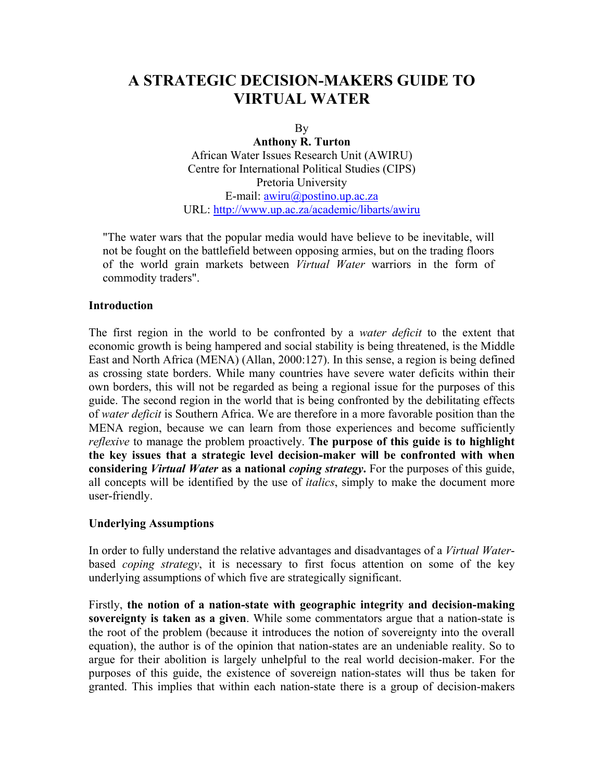# **A STRATEGIC DECISION-MAKERS GUIDE TO VIRTUAL WATER**

By

**Anthony R. Turton**  African Water Issues Research Unit (AWIRU) Centre for International Political Studies (CIPS) Pretoria University E-mail: [awiru@postino.up.ac.za](mailto:awiru@postino.up.ac.za) URL:<http://www.up.ac.za/academic/libarts/awiru>

"The water wars that the popular media would have believe to be inevitable, will not be fought on the battlefield between opposing armies, but on the trading floors of the world grain markets between *Virtual Water* warriors in the form of commodity traders".

#### **Introduction**

The first region in the world to be confronted by a *water deficit* to the extent that economic growth is being hampered and social stability is being threatened, is the Middle East and North Africa (MENA) (Allan, 2000:127). In this sense, a region is being defined as crossing state borders. While many countries have severe water deficits within their own borders, this will not be regarded as being a regional issue for the purposes of this guide. The second region in the world that is being confronted by the debilitating effects of *water deficit* is Southern Africa. We are therefore in a more favorable position than the MENA region, because we can learn from those experiences and become sufficiently *reflexive* to manage the problem proactively. **The purpose of this guide is to highlight the key issues that a strategic level decision-maker will be confronted with when considering** *Virtual Water* **as a national** *coping strategy***.** For the purposes of this guide, all concepts will be identified by the use of *italics*, simply to make the document more user-friendly.

#### **Underlying Assumptions**

In order to fully understand the relative advantages and disadvantages of a *Virtual Water*based *coping strategy*, it is necessary to first focus attention on some of the key underlying assumptions of which five are strategically significant.

Firstly, **the notion of a nation-state with geographic integrity and decision-making sovereignty is taken as a given**. While some commentators argue that a nation-state is the root of the problem (because it introduces the notion of sovereignty into the overall equation), the author is of the opinion that nation-states are an undeniable reality. So to argue for their abolition is largely unhelpful to the real world decision-maker. For the purposes of this guide, the existence of sovereign nation-states will thus be taken for granted. This implies that within each nation-state there is a group of decision-makers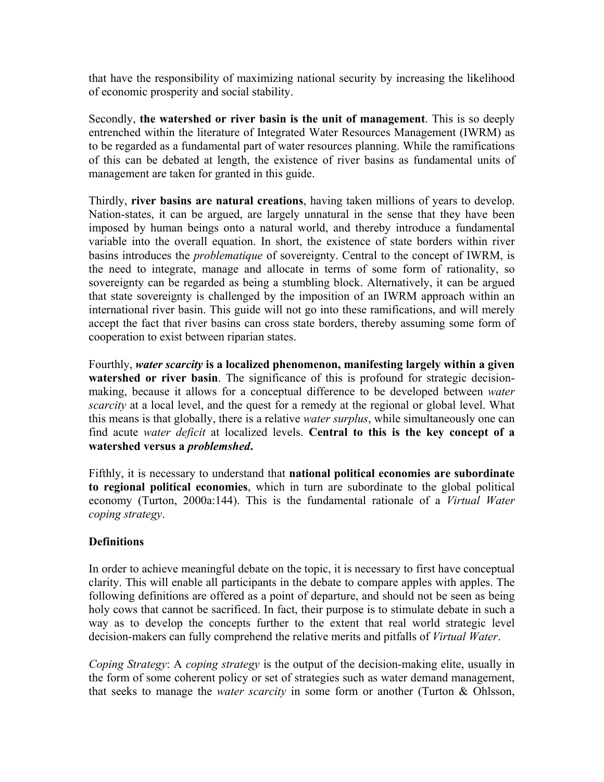that have the responsibility of maximizing national security by increasing the likelihood of economic prosperity and social stability.

Secondly, **the watershed or river basin is the unit of management**. This is so deeply entrenched within the literature of Integrated Water Resources Management (IWRM) as to be regarded as a fundamental part of water resources planning. While the ramifications of this can be debated at length, the existence of river basins as fundamental units of management are taken for granted in this guide.

Thirdly, **river basins are natural creations**, having taken millions of years to develop. Nation-states, it can be argued, are largely unnatural in the sense that they have been imposed by human beings onto a natural world, and thereby introduce a fundamental variable into the overall equation. In short, the existence of state borders within river basins introduces the *problematique* of sovereignty. Central to the concept of IWRM, is the need to integrate, manage and allocate in terms of some form of rationality, so sovereignty can be regarded as being a stumbling block. Alternatively, it can be argued that state sovereignty is challenged by the imposition of an IWRM approach within an international river basin. This guide will not go into these ramifications, and will merely accept the fact that river basins can cross state borders, thereby assuming some form of cooperation to exist between riparian states.

Fourthly, *water scarcity* **is a localized phenomenon, manifesting largely within a given watershed or river basin**. The significance of this is profound for strategic decisionmaking, because it allows for a conceptual difference to be developed between *water scarcity* at a local level, and the quest for a remedy at the regional or global level. What this means is that globally, there is a relative *water surplus*, while simultaneously one can find acute *water deficit* at localized levels. **Central to this is the key concept of a watershed versus a** *problemshed***.** 

Fifthly, it is necessary to understand that **national political economies are subordinate to regional political economies**, which in turn are subordinate to the global political economy (Turton, 2000a:144). This is the fundamental rationale of a *Virtual Water coping strategy*.

# **Definitions**

In order to achieve meaningful debate on the topic, it is necessary to first have conceptual clarity. This will enable all participants in the debate to compare apples with apples. The following definitions are offered as a point of departure, and should not be seen as being holy cows that cannot be sacrificed. In fact, their purpose is to stimulate debate in such a way as to develop the concepts further to the extent that real world strategic level decision-makers can fully comprehend the relative merits and pitfalls of *Virtual Water*.

*Coping Strategy*: A *coping strategy* is the output of the decision-making elite, usually in the form of some coherent policy or set of strategies such as water demand management, that seeks to manage the *water scarcity* in some form or another (Turton & Ohlsson,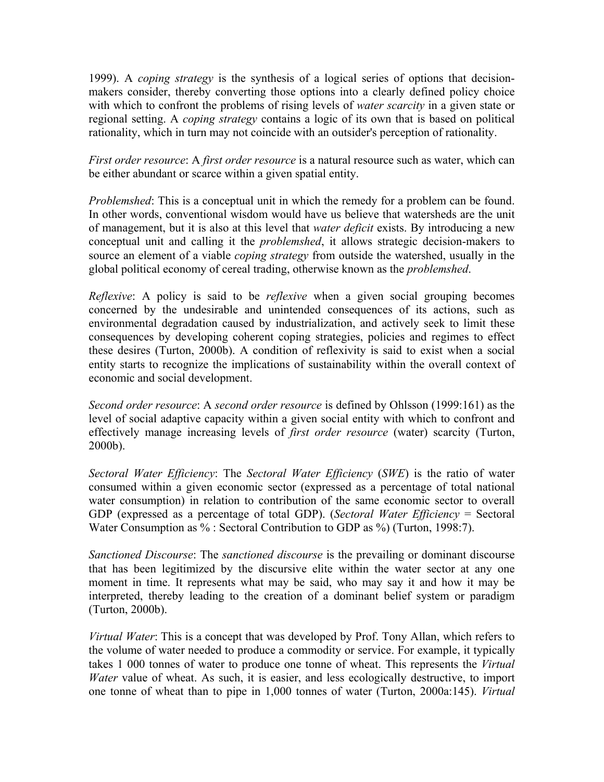1999). A *coping strategy* is the synthesis of a logical series of options that decisionmakers consider, thereby converting those options into a clearly defined policy choice with which to confront the problems of rising levels of *water scarcity* in a given state or regional setting. A *coping strategy* contains a logic of its own that is based on political rationality, which in turn may not coincide with an outsider's perception of rationality.

*First order resource*: A *first order resource* is a natural resource such as water, which can be either abundant or scarce within a given spatial entity.

*Problemshed*: This is a conceptual unit in which the remedy for a problem can be found. In other words, conventional wisdom would have us believe that watersheds are the unit of management, but it is also at this level that *water deficit* exists. By introducing a new conceptual unit and calling it the *problemshed*, it allows strategic decision-makers to source an element of a viable *coping strategy* from outside the watershed, usually in the global political economy of cereal trading, otherwise known as the *problemshed*.

*Reflexive*: A policy is said to be *reflexive* when a given social grouping becomes concerned by the undesirable and unintended consequences of its actions, such as environmental degradation caused by industrialization, and actively seek to limit these consequences by developing coherent coping strategies, policies and regimes to effect these desires (Turton, 2000b). A condition of reflexivity is said to exist when a social entity starts to recognize the implications of sustainability within the overall context of economic and social development.

*Second order resource*: A *second order resource* is defined by Ohlsson (1999:161) as the level of social adaptive capacity within a given social entity with which to confront and effectively manage increasing levels of *first order resource* (water) scarcity (Turton, 2000b).

*Sectoral Water Efficiency*: The *Sectoral Water Efficiency* (*SWE*) is the ratio of water consumed within a given economic sector (expressed as a percentage of total national water consumption) in relation to contribution of the same economic sector to overall GDP (expressed as a percentage of total GDP). (*Sectoral Water Efficiency* = Sectoral Water Consumption as % : Sectoral Contribution to GDP as %) (Turton, 1998:7).

*Sanctioned Discourse*: The *sanctioned discourse* is the prevailing or dominant discourse that has been legitimized by the discursive elite within the water sector at any one moment in time. It represents what may be said, who may say it and how it may be interpreted, thereby leading to the creation of a dominant belief system or paradigm (Turton, 2000b).

*Virtual Water*: This is a concept that was developed by Prof. Tony Allan, which refers to the volume of water needed to produce a commodity or service. For example, it typically takes 1 000 tonnes of water to produce one tonne of wheat. This represents the *Virtual Water* value of wheat. As such, it is easier, and less ecologically destructive, to import one tonne of wheat than to pipe in 1,000 tonnes of water (Turton, 2000a:145). *Virtual*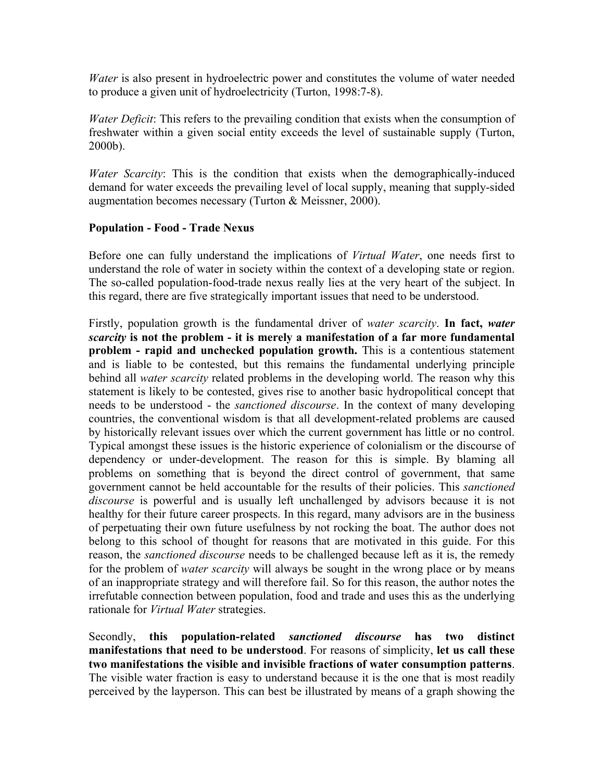*Water* is also present in hydroelectric power and constitutes the volume of water needed to produce a given unit of hydroelectricity (Turton, 1998:7-8).

*Water Deficit:* This refers to the prevailing condition that exists when the consumption of freshwater within a given social entity exceeds the level of sustainable supply (Turton, 2000b).

*Water Scarcity*: This is the condition that exists when the demographically-induced demand for water exceeds the prevailing level of local supply, meaning that supply-sided augmentation becomes necessary (Turton & Meissner, 2000).

### **Population - Food - Trade Nexus**

Before one can fully understand the implications of *Virtual Water*, one needs first to understand the role of water in society within the context of a developing state or region. The so-called population-food-trade nexus really lies at the very heart of the subject. In this regard, there are five strategically important issues that need to be understood.

Firstly, population growth is the fundamental driver of *water scarcity*. **In fact,** *water scarcity* **is not the problem - it is merely a manifestation of a far more fundamental problem - rapid and unchecked population growth.** This is a contentious statement and is liable to be contested, but this remains the fundamental underlying principle behind all *water scarcity* related problems in the developing world. The reason why this statement is likely to be contested, gives rise to another basic hydropolitical concept that needs to be understood - the *sanctioned discourse*. In the context of many developing countries, the conventional wisdom is that all development-related problems are caused by historically relevant issues over which the current government has little or no control. Typical amongst these issues is the historic experience of colonialism or the discourse of dependency or under-development. The reason for this is simple. By blaming all problems on something that is beyond the direct control of government, that same government cannot be held accountable for the results of their policies. This *sanctioned discourse* is powerful and is usually left unchallenged by advisors because it is not healthy for their future career prospects. In this regard, many advisors are in the business of perpetuating their own future usefulness by not rocking the boat. The author does not belong to this school of thought for reasons that are motivated in this guide. For this reason, the *sanctioned discourse* needs to be challenged because left as it is, the remedy for the problem of *water scarcity* will always be sought in the wrong place or by means of an inappropriate strategy and will therefore fail. So for this reason, the author notes the irrefutable connection between population, food and trade and uses this as the underlying rationale for *Virtual Water* strategies.

Secondly, **this population-related** *sanctioned discourse* **has two distinct manifestations that need to be understood**. For reasons of simplicity, **let us call these two manifestations the visible and invisible fractions of water consumption patterns**. The visible water fraction is easy to understand because it is the one that is most readily perceived by the layperson. This can best be illustrated by means of a graph showing the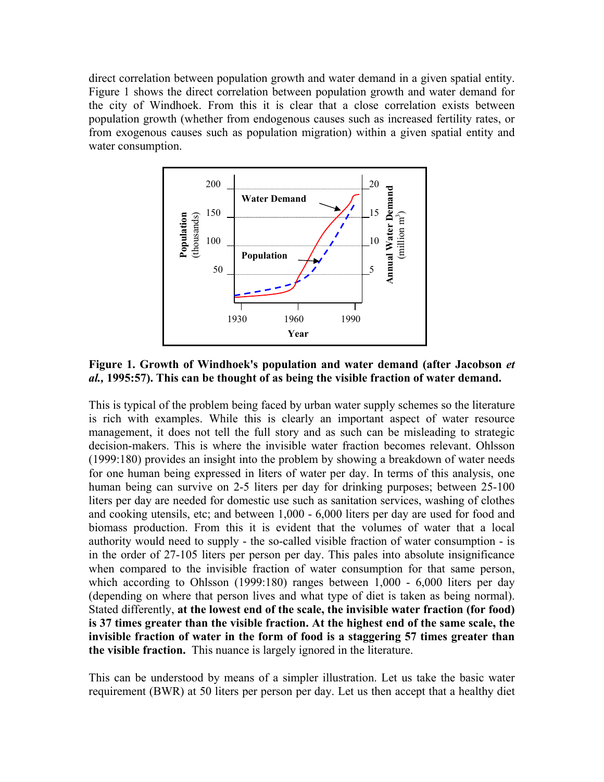direct correlation between population growth and water demand in a given spatial entity. Figure 1 shows the direct correlation between population growth and water demand for the city of Windhoek. From this it is clear that a close correlation exists between population growth (whether from endogenous causes such as increased fertility rates, or from exogenous causes such as population migration) within a given spatial entity and water consumption.



## **Figure 1. Growth of Windhoek's population and water demand (after Jacobson** *et al.,* **1995:57). This can be thought of as being the visible fraction of water demand.**

This is typical of the problem being faced by urban water supply schemes so the literature is rich with examples. While this is clearly an important aspect of water resource management, it does not tell the full story and as such can be misleading to strategic decision-makers. This is where the invisible water fraction becomes relevant. Ohlsson (1999:180) provides an insight into the problem by showing a breakdown of water needs for one human being expressed in liters of water per day. In terms of this analysis, one human being can survive on 2-5 liters per day for drinking purposes; between 25-100 liters per day are needed for domestic use such as sanitation services, washing of clothes and cooking utensils, etc; and between 1,000 - 6,000 liters per day are used for food and biomass production. From this it is evident that the volumes of water that a local authority would need to supply - the so-called visible fraction of water consumption - is in the order of 27-105 liters per person per day. This pales into absolute insignificance when compared to the invisible fraction of water consumption for that same person, which according to Ohlsson (1999:180) ranges between 1,000 - 6,000 liters per day (depending on where that person lives and what type of diet is taken as being normal). Stated differently, **at the lowest end of the scale, the invisible water fraction (for food) is 37 times greater than the visible fraction. At the highest end of the same scale, the invisible fraction of water in the form of food is a staggering 57 times greater than the visible fraction.** This nuance is largely ignored in the literature.

This can be understood by means of a simpler illustration. Let us take the basic water requirement (BWR) at 50 liters per person per day. Let us then accept that a healthy diet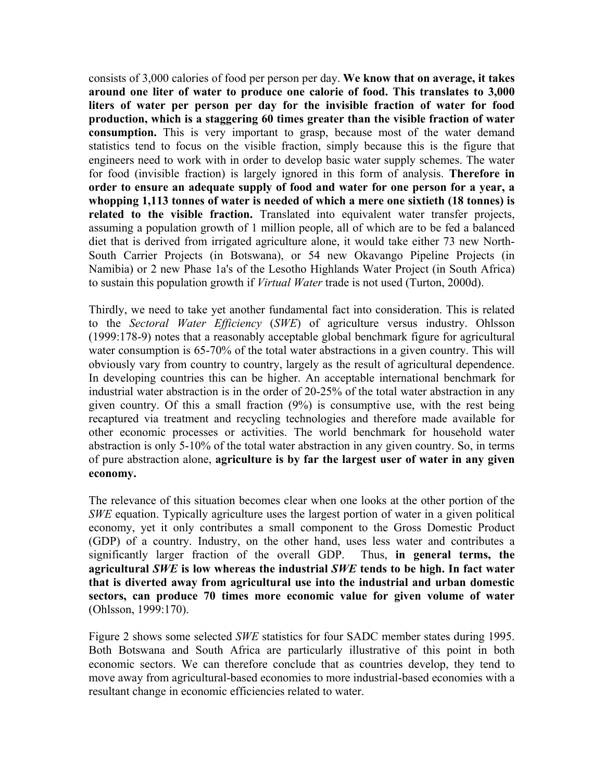consists of 3,000 calories of food per person per day. **We know that on average, it takes around one liter of water to produce one calorie of food. This translates to 3,000 liters of water per person per day for the invisible fraction of water for food production, which is a staggering 60 times greater than the visible fraction of water consumption.** This is very important to grasp, because most of the water demand statistics tend to focus on the visible fraction, simply because this is the figure that engineers need to work with in order to develop basic water supply schemes. The water for food (invisible fraction) is largely ignored in this form of analysis. **Therefore in order to ensure an adequate supply of food and water for one person for a year, a whopping 1,113 tonnes of water is needed of which a mere one sixtieth (18 tonnes) is related to the visible fraction.** Translated into equivalent water transfer projects, assuming a population growth of 1 million people, all of which are to be fed a balanced diet that is derived from irrigated agriculture alone, it would take either 73 new North-South Carrier Projects (in Botswana), or 54 new Okavango Pipeline Projects (in Namibia) or 2 new Phase 1a's of the Lesotho Highlands Water Project (in South Africa) to sustain this population growth if *Virtual Water* trade is not used (Turton, 2000d).

Thirdly, we need to take yet another fundamental fact into consideration. This is related to the *Sectoral Water Efficiency* (*SWE*) of agriculture versus industry. Ohlsson (1999:178-9) notes that a reasonably acceptable global benchmark figure for agricultural water consumption is 65-70% of the total water abstractions in a given country. This will obviously vary from country to country, largely as the result of agricultural dependence. In developing countries this can be higher. An acceptable international benchmark for industrial water abstraction is in the order of 20-25% of the total water abstraction in any given country. Of this a small fraction (9%) is consumptive use, with the rest being recaptured via treatment and recycling technologies and therefore made available for other economic processes or activities. The world benchmark for household water abstraction is only 5-10% of the total water abstraction in any given country. So, in terms of pure abstraction alone, **agriculture is by far the largest user of water in any given economy.** 

The relevance of this situation becomes clear when one looks at the other portion of the *SWE* equation. Typically agriculture uses the largest portion of water in a given political economy, yet it only contributes a small component to the Gross Domestic Product (GDP) of a country. Industry, on the other hand, uses less water and contributes a significantly larger fraction of the overall GDP. Thus, **in general terms, the agricultural** *SWE* **is low whereas the industrial** *SWE* **tends to be high. In fact water that is diverted away from agricultural use into the industrial and urban domestic sectors, can produce 70 times more economic value for given volume of water** (Ohlsson, 1999:170).

Figure 2 shows some selected *SWE* statistics for four SADC member states during 1995. Both Botswana and South Africa are particularly illustrative of this point in both economic sectors. We can therefore conclude that as countries develop, they tend to move away from agricultural-based economies to more industrial-based economies with a resultant change in economic efficiencies related to water.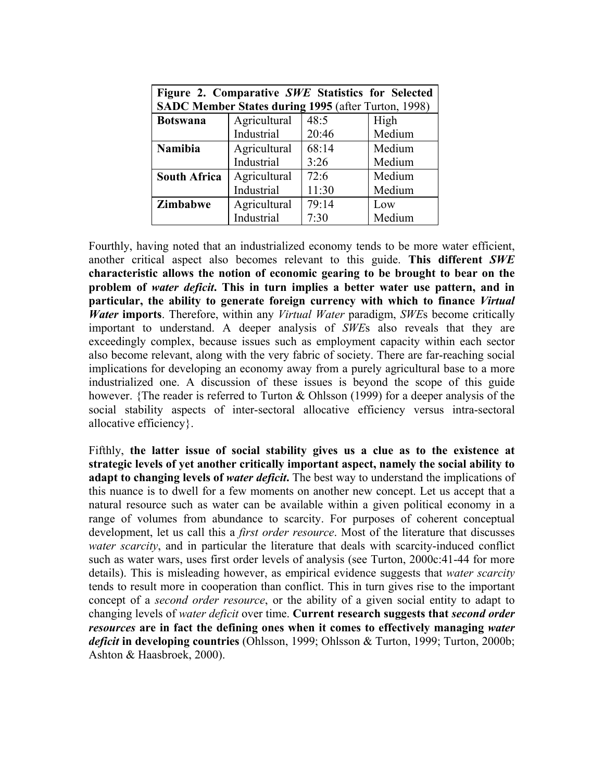| Figure 2. Comparative SWE Statistics for Selected<br>SADC Member States during 1995 (after Turton, 1998) |              |       |        |
|----------------------------------------------------------------------------------------------------------|--------------|-------|--------|
| <b>Botswana</b>                                                                                          | Agricultural | 48:5  | High   |
|                                                                                                          | Industrial   | 20:46 | Medium |
| <b>Namibia</b>                                                                                           | Agricultural | 68:14 | Medium |
|                                                                                                          | Industrial   | 3:26  | Medium |
| <b>South Africa</b>                                                                                      | Agricultural | 72:6  | Medium |
|                                                                                                          | Industrial   | 11:30 | Medium |
| Zimbabwe                                                                                                 | Agricultural | 79:14 | Low    |
|                                                                                                          | Industrial   | 7:30  | Medium |

Fourthly, having noted that an industrialized economy tends to be more water efficient, another critical aspect also becomes relevant to this guide. **This different** *SWE* **characteristic allows the notion of economic gearing to be brought to bear on the problem of** *water deficit***. This in turn implies a better water use pattern, and in particular, the ability to generate foreign currency with which to finance** *Virtual Water* **imports**. Therefore, within any *Virtual Water* paradigm, *SWE*s become critically important to understand. A deeper analysis of *SWE*s also reveals that they are exceedingly complex, because issues such as employment capacity within each sector also become relevant, along with the very fabric of society. There are far-reaching social implications for developing an economy away from a purely agricultural base to a more industrialized one. A discussion of these issues is beyond the scope of this guide however. {The reader is referred to Turton & Ohlsson (1999) for a deeper analysis of the social stability aspects of inter-sectoral allocative efficiency versus intra-sectoral allocative efficiency}.

Fifthly, **the latter issue of social stability gives us a clue as to the existence at strategic levels of yet another critically important aspect, namely the social ability to adapt to changing levels of** *water deficit*. The best way to understand the implications of this nuance is to dwell for a few moments on another new concept. Let us accept that a natural resource such as water can be available within a given political economy in a range of volumes from abundance to scarcity. For purposes of coherent conceptual development, let us call this a *first order resource*. Most of the literature that discusses *water scarcity*, and in particular the literature that deals with scarcity-induced conflict such as water wars, uses first order levels of analysis (see Turton, 2000c:41-44 for more details). This is misleading however, as empirical evidence suggests that *water scarcity* tends to result more in cooperation than conflict. This in turn gives rise to the important concept of a *second order resource*, or the ability of a given social entity to adapt to changing levels of *water deficit* over time. **Current research suggests that** *second order resources* **are in fact the defining ones when it comes to effectively managing** *water deficit* **in developing countries** (Ohlsson, 1999; Ohlsson & Turton, 1999; Turton, 2000b; Ashton & Haasbroek, 2000).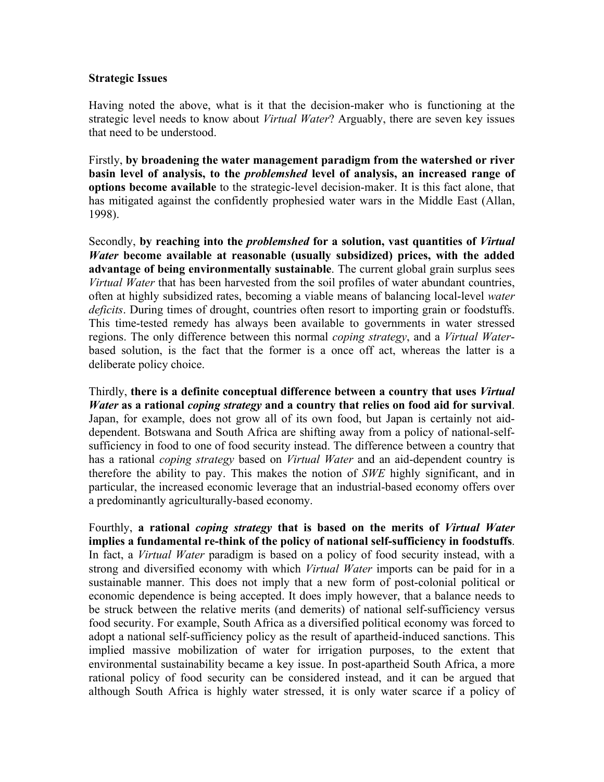#### **Strategic Issues**

Having noted the above, what is it that the decision-maker who is functioning at the strategic level needs to know about *Virtual Water*? Arguably, there are seven key issues that need to be understood.

Firstly, **by broadening the water management paradigm from the watershed or river basin level of analysis, to the** *problemshed* **level of analysis, an increased range of options become available** to the strategic-level decision-maker. It is this fact alone, that has mitigated against the confidently prophesied water wars in the Middle East (Allan, 1998).

Secondly, **by reaching into the** *problemshed* **for a solution, vast quantities of** *Virtual Water* **become available at reasonable (usually subsidized) prices, with the added advantage of being environmentally sustainable**. The current global grain surplus sees *Virtual Water* that has been harvested from the soil profiles of water abundant countries, often at highly subsidized rates, becoming a viable means of balancing local-level *water deficits*. During times of drought, countries often resort to importing grain or foodstuffs. This time-tested remedy has always been available to governments in water stressed regions. The only difference between this normal *coping strategy*, and a *Virtual Water*based solution, is the fact that the former is a once off act, whereas the latter is a deliberate policy choice.

Thirdly, **there is a definite conceptual difference between a country that uses** *Virtual Water* **as a rational** *coping strategy* **and a country that relies on food aid for survival**. Japan, for example, does not grow all of its own food, but Japan is certainly not aiddependent. Botswana and South Africa are shifting away from a policy of national-selfsufficiency in food to one of food security instead. The difference between a country that has a rational *coping strategy* based on *Virtual Water* and an aid-dependent country is therefore the ability to pay. This makes the notion of *SWE* highly significant, and in particular, the increased economic leverage that an industrial-based economy offers over a predominantly agriculturally-based economy.

Fourthly, **a rational** *coping strategy* **that is based on the merits of** *Virtual Water* **implies a fundamental re-think of the policy of national self-sufficiency in foodstuffs**. In fact, a *Virtual Water* paradigm is based on a policy of food security instead, with a strong and diversified economy with which *Virtual Water* imports can be paid for in a sustainable manner. This does not imply that a new form of post-colonial political or economic dependence is being accepted. It does imply however, that a balance needs to be struck between the relative merits (and demerits) of national self-sufficiency versus food security. For example, South Africa as a diversified political economy was forced to adopt a national self-sufficiency policy as the result of apartheid-induced sanctions. This implied massive mobilization of water for irrigation purposes, to the extent that environmental sustainability became a key issue. In post-apartheid South Africa, a more rational policy of food security can be considered instead, and it can be argued that although South Africa is highly water stressed, it is only water scarce if a policy of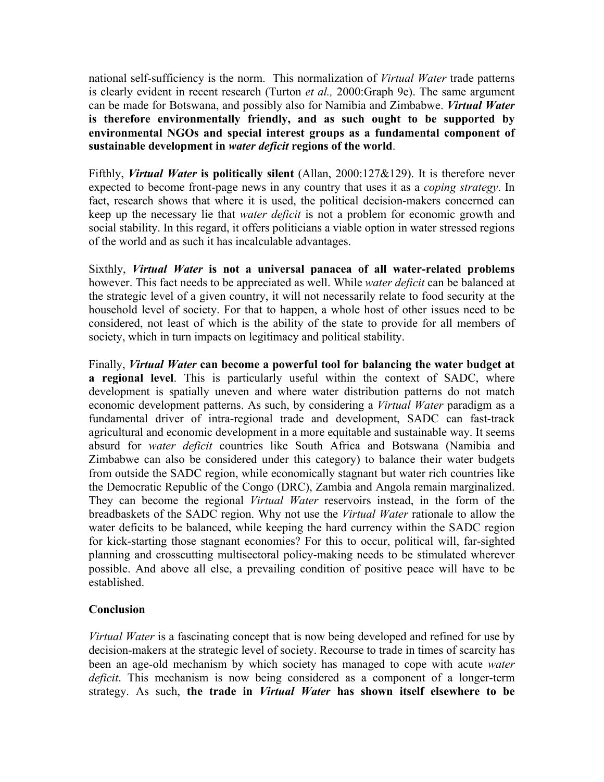national self-sufficiency is the norm. This normalization of *Virtual Water* trade patterns is clearly evident in recent research (Turton *et al.,* 2000:Graph 9e). The same argument can be made for Botswana, and possibly also for Namibia and Zimbabwe. *Virtual Water* **is therefore environmentally friendly, and as such ought to be supported by environmental NGOs and special interest groups as a fundamental component of sustainable development in** *water deficit* **regions of the world**.

Fifthly, *Virtual Water* **is politically silent** (Allan, 2000:127&129). It is therefore never expected to become front-page news in any country that uses it as a *coping strategy*. In fact, research shows that where it is used, the political decision-makers concerned can keep up the necessary lie that *water deficit* is not a problem for economic growth and social stability. In this regard, it offers politicians a viable option in water stressed regions of the world and as such it has incalculable advantages.

Sixthly, *Virtual Water* **is not a universal panacea of all water-related problems** however. This fact needs to be appreciated as well. While *water deficit* can be balanced at the strategic level of a given country, it will not necessarily relate to food security at the household level of society. For that to happen, a whole host of other issues need to be considered, not least of which is the ability of the state to provide for all members of society, which in turn impacts on legitimacy and political stability.

Finally, *Virtual Water* **can become a powerful tool for balancing the water budget at a regional level**. This is particularly useful within the context of SADC, where development is spatially uneven and where water distribution patterns do not match economic development patterns. As such, by considering a *Virtual Water* paradigm as a fundamental driver of intra-regional trade and development, SADC can fast-track agricultural and economic development in a more equitable and sustainable way. It seems absurd for *water deficit* countries like South Africa and Botswana (Namibia and Zimbabwe can also be considered under this category) to balance their water budgets from outside the SADC region, while economically stagnant but water rich countries like the Democratic Republic of the Congo (DRC), Zambia and Angola remain marginalized. They can become the regional *Virtual Water* reservoirs instead, in the form of the breadbaskets of the SADC region. Why not use the *Virtual Water* rationale to allow the water deficits to be balanced, while keeping the hard currency within the SADC region for kick-starting those stagnant economies? For this to occur, political will, far-sighted planning and crosscutting multisectoral policy-making needs to be stimulated wherever possible. And above all else, a prevailing condition of positive peace will have to be established.

# **Conclusion**

*Virtual Water* is a fascinating concept that is now being developed and refined for use by decision-makers at the strategic level of society. Recourse to trade in times of scarcity has been an age-old mechanism by which society has managed to cope with acute *water deficit*. This mechanism is now being considered as a component of a longer-term strategy. As such, **the trade in** *Virtual Water* **has shown itself elsewhere to be**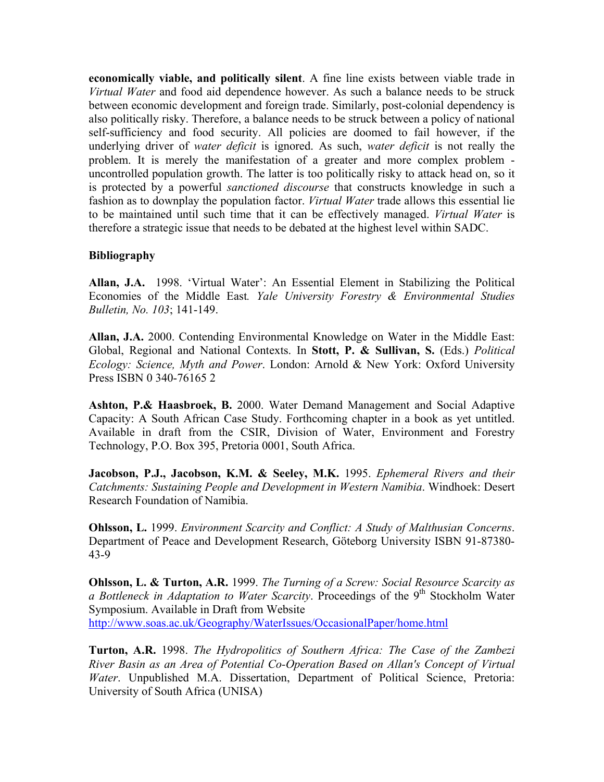**economically viable, and politically silent**. A fine line exists between viable trade in *Virtual Water* and food aid dependence however. As such a balance needs to be struck between economic development and foreign trade. Similarly, post-colonial dependency is also politically risky. Therefore, a balance needs to be struck between a policy of national self-sufficiency and food security. All policies are doomed to fail however, if the underlying driver of *water deficit* is ignored. As such, *water deficit* is not really the problem. It is merely the manifestation of a greater and more complex problem uncontrolled population growth. The latter is too politically risky to attack head on, so it is protected by a powerful *sanctioned discourse* that constructs knowledge in such a fashion as to downplay the population factor. *Virtual Water* trade allows this essential lie to be maintained until such time that it can be effectively managed. *Virtual Water* is therefore a strategic issue that needs to be debated at the highest level within SADC.

### **Bibliography**

**Allan, J.A.** 1998. 'Virtual Water': An Essential Element in Stabilizing the Political Economies of the Middle East*. Yale University Forestry & Environmental Studies Bulletin, No. 103*; 141-149.

**Allan, J.A.** 2000. Contending Environmental Knowledge on Water in the Middle East: Global, Regional and National Contexts. In **Stott, P. & Sullivan, S.** (Eds.) *Political Ecology: Science, Myth and Power*. London: Arnold & New York: Oxford University Press ISBN 0 340-76165 2

**Ashton, P.& Haasbroek, B.** 2000. Water Demand Management and Social Adaptive Capacity: A South African Case Study. Forthcoming chapter in a book as yet untitled. Available in draft from the CSIR, Division of Water, Environment and Forestry Technology, P.O. Box 395, Pretoria 0001, South Africa.

**Jacobson, P.J., Jacobson, K.M. & Seeley, M.K.** 1995. *Ephemeral Rivers and their Catchments: Sustaining People and Development in Western Namibia*. Windhoek: Desert Research Foundation of Namibia.

**Ohlsson, L.** 1999. *Environment Scarcity and Conflict: A Study of Malthusian Concerns*. Department of Peace and Development Research, Göteborg University ISBN 91-87380- 43-9

**Ohlsson, L. & Turton, A.R.** 1999. *The Turning of a Screw: Social Resource Scarcity as a Bottleneck in Adaptation to Water Scarcity*. Proceedings of the 9<sup>th</sup> Stockholm Water Symposium. Available in Draft from Website <http://www.soas.ac.uk/Geography/WaterIssues/OccasionalPaper/home.html>

**Turton, A.R.** 1998. *The Hydropolitics of Southern Africa: The Case of the Zambezi River Basin as an Area of Potential Co-Operation Based on Allan's Concept of Virtual Water*. Unpublished M.A. Dissertation, Department of Political Science, Pretoria: University of South Africa (UNISA)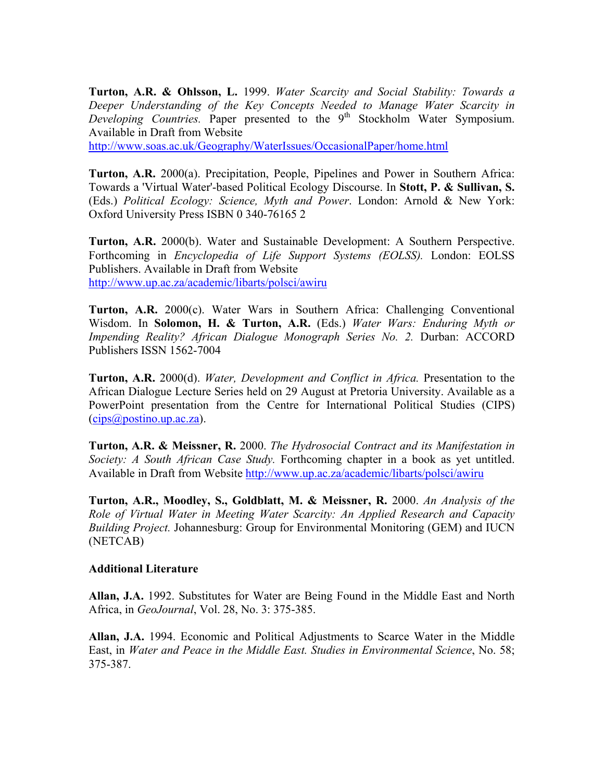**Turton, A.R. & Ohlsson, L.** 1999. *Water Scarcity and Social Stability: Towards a Deeper Understanding of the Key Concepts Needed to Manage Water Scarcity in Developing Countries.* Paper presented to the 9<sup>th</sup> Stockholm Water Symposium. Available in Draft from Website

<http://www.soas.ac.uk/Geography/WaterIssues/OccasionalPaper/home.html>

**Turton, A.R.** 2000(a). Precipitation, People, Pipelines and Power in Southern Africa: Towards a 'Virtual Water'-based Political Ecology Discourse. In **Stott, P. & Sullivan, S.** (Eds.) *Political Ecology: Science, Myth and Power*. London: Arnold & New York: Oxford University Press ISBN 0 340-76165 2

**Turton, A.R.** 2000(b). Water and Sustainable Development: A Southern Perspective. Forthcoming in *Encyclopedia of Life Support Systems (EOLSS).* London: EOLSS Publishers. Available in Draft from Website <http://www.up.ac.za/academic/libarts/polsci/awiru>

**Turton, A.R.** 2000(c). Water Wars in Southern Africa: Challenging Conventional Wisdom. In **Solomon, H. & Turton, A.R.** (Eds.) *Water Wars: Enduring Myth or Impending Reality? African Dialogue Monograph Series No. 2.* Durban: ACCORD Publishers ISSN 1562-7004

**Turton, A.R.** 2000(d). *Water, Development and Conflict in Africa.* Presentation to the African Dialogue Lecture Series held on 29 August at Pretoria University. Available as a PowerPoint presentation from the Centre for International Political Studies (CIPS)  $(cips@postino.up.ac.za)$  $(cips@postino.up.ac.za)$  $(cips@postino.up.ac.za)$ .

**Turton, A.R. & Meissner, R.** 2000. *The Hydrosocial Contract and its Manifestation in Society: A South African Case Study.* Forthcoming chapter in a book as yet untitled. Available in Draft from Website<http://www.up.ac.za/academic/libarts/polsci/awiru>

**Turton, A.R., Moodley, S., Goldblatt, M. & Meissner, R.** 2000. *An Analysis of the Role of Virtual Water in Meeting Water Scarcity: An Applied Research and Capacity Building Project.* Johannesburg: Group for Environmental Monitoring (GEM) and IUCN (NETCAB)

#### **Additional Literature**

**Allan, J.A.** 1992. Substitutes for Water are Being Found in the Middle East and North Africa, in *GeoJournal*, Vol. 28, No. 3: 375-385.

**Allan, J.A.** 1994. Economic and Political Adjustments to Scarce Water in the Middle East, in *Water and Peace in the Middle East. Studies in Environmental Science*, No. 58; 375-387.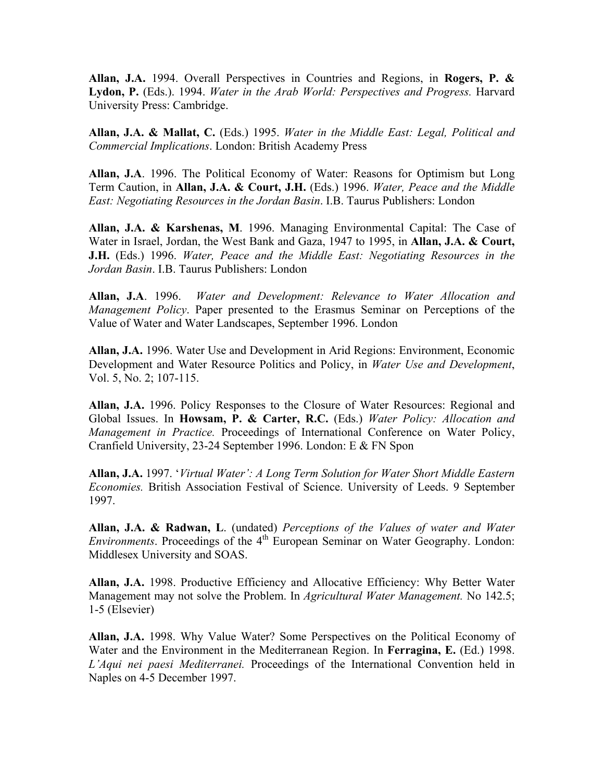**Allan, J.A.** 1994. Overall Perspectives in Countries and Regions, in **Rogers, P. & Lydon, P.** (Eds.). 1994. *Water in the Arab World: Perspectives and Progress.* Harvard University Press: Cambridge.

**Allan, J.A. & Mallat, C.** (Eds.) 1995. *Water in the Middle East: Legal, Political and Commercial Implications*. London: British Academy Press

**Allan, J.A**. 1996. The Political Economy of Water: Reasons for Optimism but Long Term Caution, in **Allan, J.A. & Court, J.H.** (Eds.) 1996. *Water, Peace and the Middle East: Negotiating Resources in the Jordan Basin*. I.B. Taurus Publishers: London

**Allan, J.A. & Karshenas, M**. 1996. Managing Environmental Capital: The Case of Water in Israel, Jordan, the West Bank and Gaza, 1947 to 1995, in **Allan, J.A. & Court, J.H.** (Eds.) 1996. *Water, Peace and the Middle East: Negotiating Resources in the Jordan Basin*. I.B. Taurus Publishers: London

**Allan, J.A**. 1996. *Water and Development: Relevance to Water Allocation and Management Policy*. Paper presented to the Erasmus Seminar on Perceptions of the Value of Water and Water Landscapes, September 1996. London

**Allan, J.A.** 1996. Water Use and Development in Arid Regions: Environment, Economic Development and Water Resource Politics and Policy, in *Water Use and Development*, Vol. 5, No. 2; 107-115.

**Allan, J.A.** 1996. Policy Responses to the Closure of Water Resources: Regional and Global Issues. In **Howsam, P. & Carter, R.C.** (Eds.) *Water Policy: Allocation and Management in Practice.* Proceedings of International Conference on Water Policy, Cranfield University, 23-24 September 1996. London: E & FN Spon

**Allan, J.A.** 1997. '*Virtual Water': A Long Term Solution for Water Short Middle Eastern Economies.* British Association Festival of Science. University of Leeds. 9 September 1997.

**Allan, J.A. & Radwan, L**. (undated) *Perceptions of the Values of water and Water Environments*. Proceedings of the 4<sup>th</sup> European Seminar on Water Geography. London: Middlesex University and SOAS.

**Allan, J.A.** 1998. Productive Efficiency and Allocative Efficiency: Why Better Water Management may not solve the Problem. In *Agricultural Water Management.* No 142.5; 1-5 (Elsevier)

**Allan, J.A.** 1998. Why Value Water? Some Perspectives on the Political Economy of Water and the Environment in the Mediterranean Region. In **Ferragina, E.** (Ed.) 1998. *L'Aqui nei paesi Mediterranei.* Proceedings of the International Convention held in Naples on 4-5 December 1997.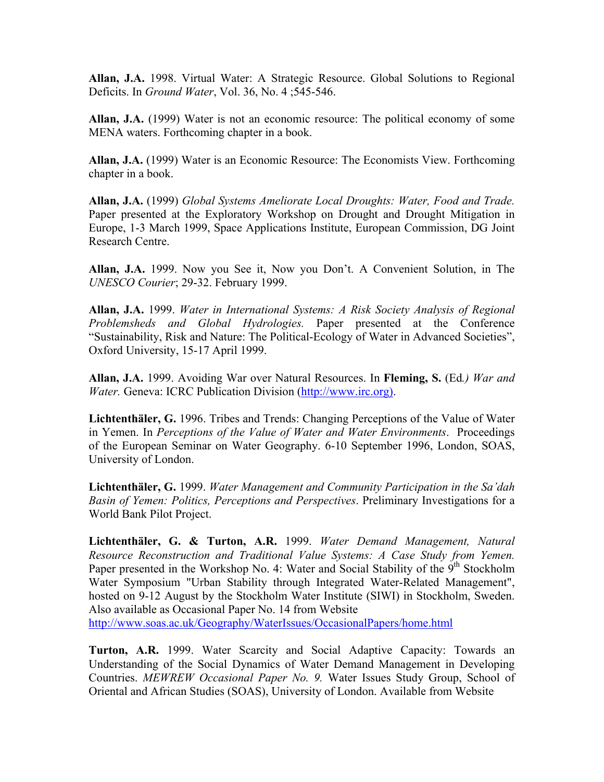**Allan, J.A.** 1998. Virtual Water: A Strategic Resource. Global Solutions to Regional Deficits. In *Ground Water*, Vol. 36, No. 4 ;545-546.

**Allan, J.A.** (1999) Water is not an economic resource: The political economy of some MENA waters. Forthcoming chapter in a book.

**Allan, J.A.** (1999) Water is an Economic Resource: The Economists View. Forthcoming chapter in a book.

**Allan, J.A.** (1999) *Global Systems Ameliorate Local Droughts: Water, Food and Trade.* Paper presented at the Exploratory Workshop on Drought and Drought Mitigation in Europe, 1-3 March 1999, Space Applications Institute, European Commission, DG Joint Research Centre.

**Allan, J.A.** 1999. Now you See it, Now you Don't. A Convenient Solution, in The *UNESCO Courier*; 29-32. February 1999.

**Allan, J.A.** 1999. *Water in International Systems: A Risk Society Analysis of Regional Problemsheds and Global Hydrologies.* Paper presented at the Conference "Sustainability, Risk and Nature: The Political-Ecology of Water in Advanced Societies", Oxford University, 15-17 April 1999.

**Allan, J.A.** 1999. Avoiding War over Natural Resources. In **Fleming, S.** (Ed*.) War and Water.* Geneva: ICRC Publication Division [\(http://www.irc.org\).](http://www.irc.org)/)

**Lichtenthäler, G.** 1996. Tribes and Trends: Changing Perceptions of the Value of Water in Yemen. In *Perceptions of the Value of Water and Water Environments*. Proceedings of the European Seminar on Water Geography. 6-10 September 1996, London, SOAS, University of London.

**Lichtenthäler, G.** 1999. *Water Management and Community Participation in the Sa'dah Basin of Yemen: Politics, Perceptions and Perspectives*. Preliminary Investigations for a World Bank Pilot Project.

**Lichtenthäler, G. & Turton, A.R.** 1999. *Water Demand Management, Natural Resource Reconstruction and Traditional Value Systems: A Case Study from Yemen.* Paper presented in the Workshop No. 4: Water and Social Stability of the  $9<sup>th</sup>$  Stockholm Water Symposium "Urban Stability through Integrated Water-Related Management", hosted on 9-12 August by the Stockholm Water Institute (SIWI) in Stockholm, Sweden. Also available as Occasional Paper No. 14 from Website

<http://www.soas.ac.uk/Geography/WaterIssues/OccasionalPapers/home.html>

**Turton, A.R.** 1999. Water Scarcity and Social Adaptive Capacity: Towards an Understanding of the Social Dynamics of Water Demand Management in Developing Countries. *MEWREW Occasional Paper No. 9.* Water Issues Study Group, School of Oriental and African Studies (SOAS), University of London. Available from Website